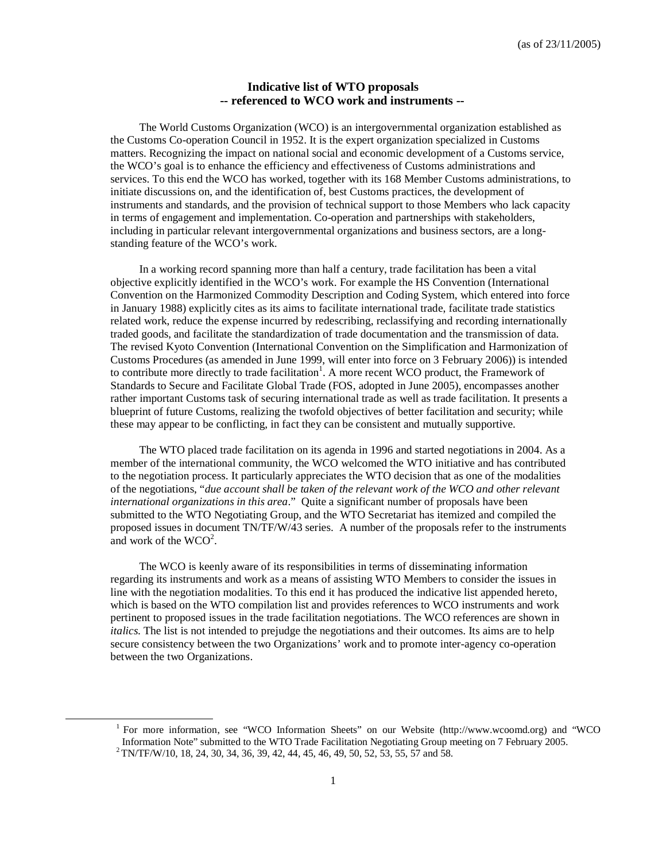## **Indicative list of WTO proposals -- referenced to WCO work and instruments --**

The World Customs Organization (WCO) is an intergovernmental organization established as the Customs Co-operation Council in 1952. It is the expert organization specialized in Customs matters. Recognizing the impact on national social and economic development of a Customs service, the WCO's goal is to enhance the efficiency and effectiveness of Customs administrations and services. To this end the WCO has worked, together with its 168 Member Customs administrations, to initiate discussions on, and the identification of, best Customs practices, the development of instruments and standards, and the provision of technical support to those Members who lack capacity in terms of engagement and implementation. Co-operation and partnerships with stakeholders, including in particular relevant intergovernmental organizations and business sectors, are a longstanding feature of the WCO's work.

In a working record spanning more than half a century, trade facilitation has been a vital objective explicitly identified in the WCO's work. For example the HS Convention (International Convention on the Harmonized Commodity Description and Coding System, which entered into force in January 1988) explicitly cites as its aims to facilitate international trade, facilitate trade statistics related work, reduce the expense incurred by redescribing, reclassifying and recording internationally traded goods, and facilitate the standardization of trade documentation and the transmission of data. The revised Kyoto Convention (International Convention on the Simplification and Harmonization of Customs Procedures (as amended in June 1999, will enter into force on 3 February 2006)) is intended to contribute more directly to trade facilitation<sup>1</sup>. A more recent WCO product, the Framework of Standards to Secure and Facilitate Global Trade (FOS, adopted in June 2005), encompasses another rather important Customs task of securing international trade as well as trade facilitation. It presents a blueprint of future Customs, realizing the twofold objectives of better facilitation and security; while these may appear to be conflicting, in fact they can be consistent and mutually supportive.

The WTO placed trade facilitation on its agenda in 1996 and started negotiations in 2004. As a member of the international community, the WCO welcomed the WTO initiative and has contributed to the negotiation process. It particularly appreciates the WTO decision that as one of the modalities of the negotiations, "*due account shall be taken of the relevant work of the WCO and other relevant international organizations in this area*." Quite a significant number of proposals have been submitted to the WTO Negotiating Group, and the WTO Secretariat has itemized and compiled the proposed issues in document TN/TF/W/43 series. A number of the proposals refer to the instruments and work of the  $WCO^2$ .

The WCO is keenly aware of its responsibilities in terms of disseminating information regarding its instruments and work as a means of assisting WTO Members to consider the issues in line with the negotiation modalities. To this end it has produced the indicative list appended hereto, which is based on the WTO compilation list and provides references to WCO instruments and work pertinent to proposed issues in the trade facilitation negotiations. The WCO references are shown in *italics*. The list is not intended to prejudge the negotiations and their outcomes. Its aims are to help secure consistency between the two Organizations' work and to promote inter-agency co-operation between the two Organizations.

l

<sup>&</sup>lt;sup>1</sup> For more information, see "WCO Information Sheets" on our Website (http://www.wcoomd.org) and "WCO Information Note" submitted to the WTO Trade Facilitation Negotiating Group meeting on 7 February 2005.  $^{2}$  TN/TF/W/10, 18, 24, 30, 34, 36, 39, 42, 44, 45, 46, 49, 50, 52, 53, 55, 57 and 58.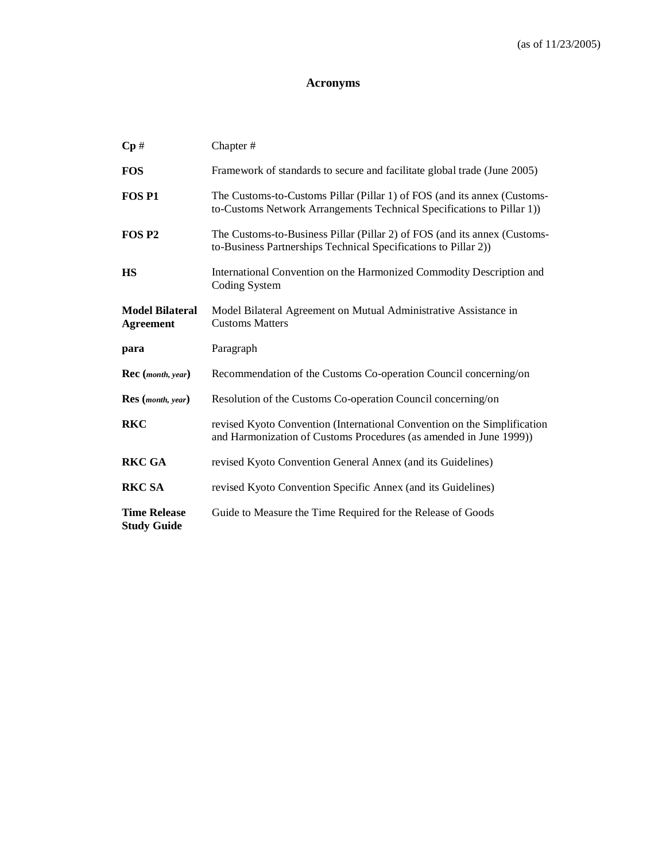## **Acronyms**

| $\mathbf{Cp} \#$                           | Chapter#                                                                                                                                           |
|--------------------------------------------|----------------------------------------------------------------------------------------------------------------------------------------------------|
| <b>FOS</b>                                 | Framework of standards to secure and facilitate global trade (June 2005)                                                                           |
| FOS <sub>P1</sub>                          | The Customs-to-Customs Pillar (Pillar 1) of FOS (and its annex (Customs-<br>to-Customs Network Arrangements Technical Specifications to Pillar 1)) |
| FOS <sub>P2</sub>                          | The Customs-to-Business Pillar (Pillar 2) of FOS (and its annex (Customs-<br>to-Business Partnerships Technical Specifications to Pillar 2))       |
| HS                                         | International Convention on the Harmonized Commodity Description and<br>Coding System                                                              |
| <b>Model Bilateral</b><br><b>Agreement</b> | Model Bilateral Agreement on Mutual Administrative Assistance in<br><b>Customs Matters</b>                                                         |
|                                            |                                                                                                                                                    |
| para                                       | Paragraph                                                                                                                                          |
| Rec (month, year)                          | Recommendation of the Customs Co-operation Council concerning/on                                                                                   |
| <b>Res</b> (month, year)                   | Resolution of the Customs Co-operation Council concerning/on                                                                                       |
| <b>RKC</b>                                 | revised Kyoto Convention (International Convention on the Simplification<br>and Harmonization of Customs Procedures (as amended in June 1999))     |
| <b>RKC GA</b>                              | revised Kyoto Convention General Annex (and its Guidelines)                                                                                        |
| <b>RKC SA</b>                              | revised Kyoto Convention Specific Annex (and its Guidelines)                                                                                       |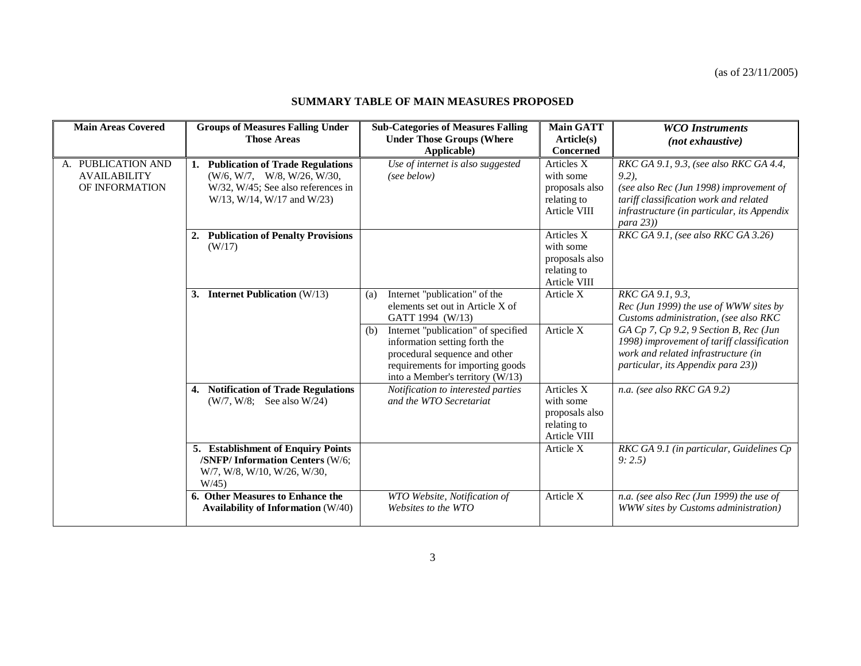## **SUMMARY TABLE OF MAIN MEASURES PROPOSED**

| <b>Main Areas Covered</b>                                   | <b>Groups of Measures Falling Under</b>                                                                                                            | <b>Sub-Categories of Measures Falling</b>                                                                                                                                                                                                                                            | <b>Main GATT</b>                                                         | <b>WCO</b> Instruments                                                                                                                                                                                                                                                   |
|-------------------------------------------------------------|----------------------------------------------------------------------------------------------------------------------------------------------------|--------------------------------------------------------------------------------------------------------------------------------------------------------------------------------------------------------------------------------------------------------------------------------------|--------------------------------------------------------------------------|--------------------------------------------------------------------------------------------------------------------------------------------------------------------------------------------------------------------------------------------------------------------------|
|                                                             | <b>Those Areas</b>                                                                                                                                 | <b>Under Those Groups (Where</b>                                                                                                                                                                                                                                                     | Article(s)                                                               | (not exhaustive)                                                                                                                                                                                                                                                         |
|                                                             |                                                                                                                                                    | Applicable)                                                                                                                                                                                                                                                                          | Concerned                                                                |                                                                                                                                                                                                                                                                          |
| A. PUBLICATION AND<br><b>AVAILABILITY</b><br>OF INFORMATION | <b>Publication of Trade Regulations</b><br>1.<br>(W/6, W/7, W/8, W/26, W/30, W<br>W/32, W/45; See also references in<br>W/13, W/14, W/17 and W/23) | Use of internet is also suggested<br>(see below)                                                                                                                                                                                                                                     | Articles X<br>with some<br>proposals also<br>relating to<br>Article VIII | RKC GA 9.1, 9.3, (see also RKC GA 4.4,<br>$9.2$ ).<br>(see also Rec (Jun 1998) improvement of<br>tariff classification work and related<br>infrastructure (in particular, its Appendix                                                                                   |
|                                                             | <b>Publication of Penalty Provisions</b><br>2.<br>(W/17)                                                                                           |                                                                                                                                                                                                                                                                                      | Articles X<br>with some<br>proposals also<br>relating to<br>Article VIII | $para$ 23))<br>RKC GA 9.1, (see also RKC GA 3.26)                                                                                                                                                                                                                        |
|                                                             | <b>Internet Publication</b> (W/13)<br>3.                                                                                                           | Internet "publication" of the<br>(a)<br>elements set out in Article X of<br>GATT 1994 (W/13)<br>Internet "publication" of specified<br>(b)<br>information setting forth the<br>procedural sequence and other<br>requirements for importing goods<br>into a Member's territory (W/13) | Article X<br>Article X                                                   | RKC GA 9.1, 9.3,<br>Rec (Jun 1999) the use of WWW sites by<br>Customs administration, (see also RKC<br>GA Cp 7, Cp 9.2, 9 Section B, Rec (Jun<br>1998) improvement of tariff classification<br>work and related infrastructure (in<br>particular, its Appendix para 23)) |
|                                                             | <b>Notification of Trade Regulations</b><br>4.<br>$(W/7, W/8;$ See also W/24)                                                                      | Notification to interested parties<br>and the WTO Secretariat                                                                                                                                                                                                                        | Articles X<br>with some<br>proposals also<br>relating to<br>Article VIII | n.a. (see also RKC GA 9.2)                                                                                                                                                                                                                                               |
|                                                             | 5. Establishment of Enquiry Points<br>/SNFP/Information Centers (W/6;<br>W/7, W/8, W/10, W/26, W/30,<br>W/45                                       |                                                                                                                                                                                                                                                                                      | Article X                                                                | RKC GA 9.1 (in particular, Guidelines Cp<br>9:2.5                                                                                                                                                                                                                        |
|                                                             | 6. Other Measures to Enhance the<br><b>Availability of Information (W/40)</b>                                                                      | WTO Website, Notification of<br>Websites to the WTO                                                                                                                                                                                                                                  | Article X                                                                | n.a. (see also Rec (Jun 1999) the use of<br>WWW sites by Customs administration)                                                                                                                                                                                         |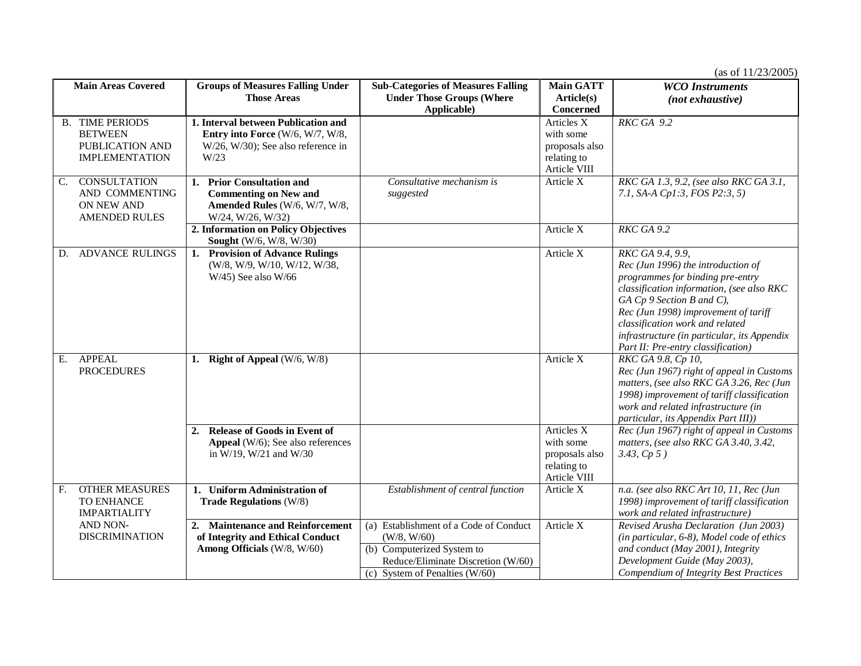| <b>Main Areas Covered</b> |                                                                                      | <b>Groups of Measures Falling Under</b>                                                                                     | <b>Sub-Categories of Measures Falling</b>                                                                                                                     | <b>Main GATT</b>                                                         | <b>WCO</b> Instruments                                                                                                                                                                                                                                                                                                                      |
|---------------------------|--------------------------------------------------------------------------------------|-----------------------------------------------------------------------------------------------------------------------------|---------------------------------------------------------------------------------------------------------------------------------------------------------------|--------------------------------------------------------------------------|---------------------------------------------------------------------------------------------------------------------------------------------------------------------------------------------------------------------------------------------------------------------------------------------------------------------------------------------|
|                           |                                                                                      | <b>Those Areas</b>                                                                                                          | <b>Under Those Groups (Where</b><br>Applicable)                                                                                                               | Article(s)<br><b>Concerned</b>                                           | $(not$ exhaustive)                                                                                                                                                                                                                                                                                                                          |
|                           | <b>B. TIME PERIODS</b><br><b>BETWEEN</b><br>PUBLICATION AND<br><b>IMPLEMENTATION</b> | 1. Interval between Publication and<br>Entry into Force (W/6, W/7, W/8,<br>$W/26$ , $W/30$ ); See also reference in<br>W/23 |                                                                                                                                                               | Articles X<br>with some<br>proposals also<br>relating to<br>Article VIII | $RKCGA$ 9.2                                                                                                                                                                                                                                                                                                                                 |
| C.                        | <b>CONSULTATION</b><br>AND COMMENTING<br>ON NEW AND<br><b>AMENDED RULES</b>          | <b>Prior Consultation and</b><br>1.<br><b>Commenting on New and</b><br>Amended Rules (W/6, W/7, W/8,<br>W/24, W/26, W/32)   | Consultative mechanism is<br>suggested                                                                                                                        | Article X                                                                | RKC GA 1.3, 9.2, (see also RKC GA 3.1,<br>7.1, SA-A Cp1:3, FOS P2:3, 5)                                                                                                                                                                                                                                                                     |
|                           |                                                                                      | 2. Information on Policy Objectives<br><b>Sought</b> (W/6, W/8, W/30)                                                       |                                                                                                                                                               | Article X                                                                | RKC GA 9.2                                                                                                                                                                                                                                                                                                                                  |
| D.                        | <b>ADVANCE RULINGS</b>                                                               | 1. Provision of Advance Rulings<br>(W/8, W/9, W/10, W/12, W/38,<br>$W/45$ ) See also $W/66$                                 |                                                                                                                                                               | Article X                                                                | RKC GA 9.4, 9.9,<br>Rec (Jun 1996) the introduction of<br>programmes for binding pre-entry<br>classification information, (see also RKC<br>$GA$ $Cp$ 9 Section B and $C$ ),<br>Rec (Jun 1998) improvement of tariff<br>classification work and related<br>infrastructure (in particular, its Appendix<br>Part II: Pre-entry classification) |
| Е.                        | <b>APPEAL</b><br><b>PROCEDURES</b>                                                   | 1. Right of Appeal (W/6, W/8)                                                                                               |                                                                                                                                                               | Article X                                                                | RKC GA 9.8, Cp 10,<br>Rec (Jun 1967) right of appeal in Customs<br>matters, (see also RKC GA 3.26, Rec (Jun<br>1998) improvement of tariff classification<br>work and related infrastructure (in<br>particular, its Appendix Part III))                                                                                                     |
|                           |                                                                                      | <b>Release of Goods in Event of</b><br>2.<br><b>Appeal</b> ( $W/6$ ); See also references<br>in W/19, W/21 and W/30         |                                                                                                                                                               | Articles X<br>with some<br>proposals also<br>relating to<br>Article VIII | Rec (Jun 1967) right of appeal in Customs<br>matters, (see also RKC GA 3.40, 3.42,<br>3.43, Cp 5)                                                                                                                                                                                                                                           |
| F <sub>r</sub>            | <b>OTHER MEASURES</b><br>TO ENHANCE<br><b>IMPARTIALITY</b>                           | 1. Uniform Administration of<br><b>Trade Regulations (W/8)</b>                                                              | Establishment of central function                                                                                                                             | Article X                                                                | n.a. (see also RKC Art 10, 11, Rec (Jun<br>1998) improvement of tariff classification<br>work and related infrastructure)                                                                                                                                                                                                                   |
|                           | <b>AND NON-</b><br><b>DISCRIMINATION</b>                                             | 2. Maintenance and Reinforcement<br>of Integrity and Ethical Conduct<br>Among Officials (W/8, W/60)                         | (a) Establishment of a Code of Conduct<br>(W/8, W/60)<br>(b) Computerized System to<br>Reduce/Eliminate Discretion (W/60)<br>(c) System of Penalties $(W/60)$ | Article X                                                                | Revised Arusha Declaration (Jun 2003)<br>(in particular, 6-8), Model code of ethics<br>and conduct (May 2001), Integrity<br>Development Guide (May 2003),<br>Compendium of Integrity Best Practices                                                                                                                                         |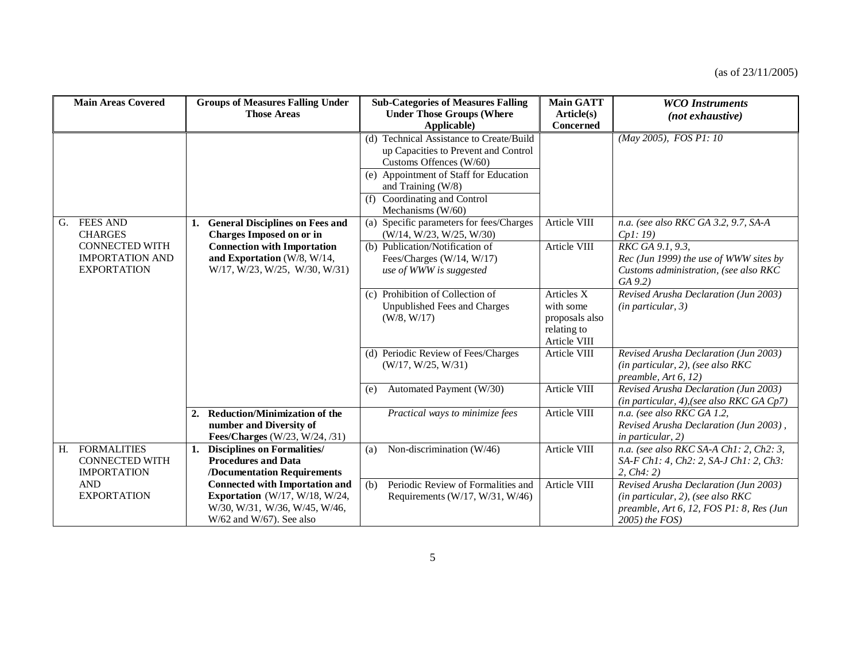|    | <b>Main Areas Covered</b>                                                                                  |    | <b>Groups of Measures Falling Under</b><br><b>Those Areas</b>                                                                                                               |     | <b>Sub-Categories of Measures Falling</b><br><b>Under Those Groups (Where</b>                                                                                                                                                                   | <b>Main GATT</b><br>Article(s)                                           | <b>WCO</b> Instruments<br>(not exhaustive)                                                                                                                          |
|----|------------------------------------------------------------------------------------------------------------|----|-----------------------------------------------------------------------------------------------------------------------------------------------------------------------------|-----|-------------------------------------------------------------------------------------------------------------------------------------------------------------------------------------------------------------------------------------------------|--------------------------------------------------------------------------|---------------------------------------------------------------------------------------------------------------------------------------------------------------------|
|    |                                                                                                            |    |                                                                                                                                                                             |     | Applicable)<br>(d) Technical Assistance to Create/Build<br>up Capacities to Prevent and Control<br>Customs Offences (W/60)<br>(e) Appointment of Staff for Education<br>and Training (W/8)<br>(f) Coordinating and Control<br>Mechanisms (W/60) | Concerned                                                                | (May 2005), FOS P1: 10                                                                                                                                              |
| G. | <b>FEES AND</b><br><b>CHARGES</b><br><b>CONNECTED WITH</b><br><b>IMPORTATION AND</b><br><b>EXPORTATION</b> |    | 1. General Disciplines on Fees and<br><b>Charges Imposed on or in</b><br><b>Connection with Importation</b><br>and Exportation (W/8, W/14,<br>W/17, W/23, W/25, W/30, W/31) |     | (a) Specific parameters for fees/Charges<br>(W/14, W/23, W/25, W/30)<br>(b) Publication/Notification of<br>Fees/Charges (W/14, W/17)<br>use of WWW is suggested                                                                                 | Article VIII<br>Article VIII                                             | n.a. (see also RKC GA 3.2, 9.7, SA-A<br>Cpl: 19<br>RKC GA 9.1, 9.3,<br>Rec (Jun 1999) the use of WWW sites by<br>Customs administration, (see also RKC<br>$GA$ 9.2) |
|    |                                                                                                            |    |                                                                                                                                                                             |     | (c) Prohibition of Collection of<br>Unpublished Fees and Charges<br>(W/8, W/17)                                                                                                                                                                 | Articles X<br>with some<br>proposals also<br>relating to<br>Article VIII | Revised Arusha Declaration (Jun 2003)<br>$(in$ particular, $3)$                                                                                                     |
|    |                                                                                                            |    |                                                                                                                                                                             |     | (d) Periodic Review of Fees/Charges<br>(W/17, W/25, W/31)                                                                                                                                                                                       | Article VIII                                                             | Revised Arusha Declaration (Jun 2003)<br>$(in$ particular, 2), (see also RKC<br>preamble, $Art 6, 12)$                                                              |
|    |                                                                                                            |    |                                                                                                                                                                             | (e) | Automated Payment (W/30)                                                                                                                                                                                                                        | Article VIII                                                             | Revised Arusha Declaration (Jun 2003)<br>(in particular, 4), (see also RKC GA Cp7)                                                                                  |
|    |                                                                                                            |    | 2. Reduction/Minimization of the<br>number and Diversity of<br>Fees/Charges (W/23, W/24, /31)                                                                               |     | Practical ways to minimize fees                                                                                                                                                                                                                 | Article VIII                                                             | n.a. (see also RKC GA 1.2,<br>Revised Arusha Declaration (Jun 2003),<br>in particular, 2)                                                                           |
| H. | <b>FORMALITIES</b><br><b>CONNECTED WITH</b><br><b>IMPORTATION</b>                                          | 1. | <b>Disciplines on Formalities/</b><br><b>Procedures and Data</b><br>/Documentation Requirements                                                                             | (a) | Non-discrimination (W/46)                                                                                                                                                                                                                       | Article VIII                                                             | n.a. (see also RKC SA-A Ch1: 2, Ch2: 3,<br>SA-F Ch1: 4, Ch2: 2, SA-J Ch1: 2, Ch3:<br>2, $Ch4:2)$                                                                    |
|    | <b>AND</b><br><b>EXPORTATION</b>                                                                           |    | <b>Connected with Importation and</b><br>Exportation (W/17, W/18, W/24,<br>W/30, W/31, W/36, W/45, W/46,<br>$W/62$ and $W/67$ ). See also                                   | (b) | Periodic Review of Formalities and<br>Requirements ( $W/17$ , $W/31$ , $W/46$ )                                                                                                                                                                 | Article VIII                                                             | Revised Arusha Declaration (Jun 2003)<br>$(in$ particular, 2), (see also RKC<br>preamble, Art 6, 12, FOS P1: 8, Res (Jun<br>2005) the FOS)                          |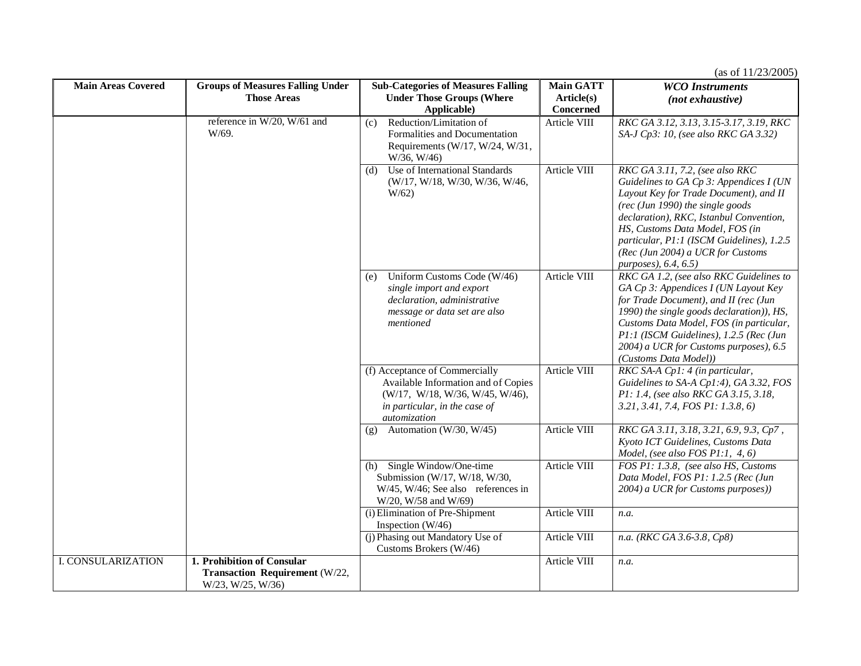| <b>Main Areas Covered</b> | <b>Groups of Measures Falling Under</b>                                           | <b>Sub-Categories of Measures Falling</b>                                                                                                                 | <b>Main GATT</b> | <b>WCO</b> Instruments                                                                                                                                                                                                                                                                                                                             |
|---------------------------|-----------------------------------------------------------------------------------|-----------------------------------------------------------------------------------------------------------------------------------------------------------|------------------|----------------------------------------------------------------------------------------------------------------------------------------------------------------------------------------------------------------------------------------------------------------------------------------------------------------------------------------------------|
|                           | <b>Those Areas</b>                                                                | <b>Under Those Groups (Where</b>                                                                                                                          | Article(s)       | (not exhaustive)                                                                                                                                                                                                                                                                                                                                   |
|                           |                                                                                   | Applicable)                                                                                                                                               | Concerned        |                                                                                                                                                                                                                                                                                                                                                    |
|                           | reference in W/20, W/61 and<br>W/69.                                              | Reduction/Limitation of<br>(c)<br>Formalities and Documentation<br>Requirements (W/17, W/24, W/31,<br>W/36, W/46)                                         | Article VIII     | RKC GA 3.12, 3.13, 3.15-3.17, 3.19, RKC<br>SA-J Cp3: 10, (see also RKC GA 3.32)                                                                                                                                                                                                                                                                    |
|                           |                                                                                   | Use of International Standards<br>(d)<br>(W/17, W/18, W/30, W/36, W/46,<br>W/62                                                                           | Article VIII     | RKC GA 3.11, 7.2, (see also RKC<br>Guidelines to GA Cp 3: Appendices I (UN<br>Layout Key for Trade Document), and II<br>$(rec$ (Jun 1990) the single goods<br>declaration), RKC, Istanbul Convention,<br>HS, Customs Data Model, FOS (in<br>particular, P1:1 (ISCM Guidelines), 1.2.5<br>(Rec (Jun 2004) a UCR for Customs<br>purposes), 6.4, 6.5) |
|                           |                                                                                   | Uniform Customs Code (W/46)<br>(e)<br>single import and export<br>declaration, administrative<br>message or data set are also<br>mentioned                | Article VIII     | RKC GA 1.2, (see also RKC Guidelines to<br>GA Cp 3: Appendices I (UN Layout Key<br>for Trade Document), and II (rec (Jun<br>1990) the single goods declaration)), HS,<br>Customs Data Model, FOS (in particular,<br>P1:1 (ISCM Guidelines), 1.2.5 (Rec (Jun<br>2004) a UCR for Customs purposes), 6.5<br>(Customs Data Model))                     |
|                           |                                                                                   | (f) Acceptance of Commercially<br>Available Information and of Copies<br>(W/17, W/18, W/36, W/45, W/46),<br>in particular, in the case of<br>automization | Article VIII     | RKC SA-A Cp1: 4 (in particular,<br>Guidelines to SA-A Cp1:4), GA 3.32, FOS<br>P1: 1.4, (see also RKC GA 3.15, 3.18,<br>3.21, 3.41, 7.4, FOS P1: 1.3.8, 6)                                                                                                                                                                                          |
|                           |                                                                                   | Automation (W/30, W/45)<br>(g)                                                                                                                            | Article VIII     | RKC GA 3.11, 3.18, 3.21, 6.9, 9.3, Cp7,<br>Kyoto ICT Guidelines, Customs Data<br>Model, (see also FOS $P1:1, 4, 6$ )                                                                                                                                                                                                                               |
|                           |                                                                                   | Single Window/One-time<br>(h)<br>Submission (W/17, W/18, W/30,<br>W/45, W/46; See also references in<br>W/20, W/58 and W/69)                              | Article VIII     | FOS P1: 1.3.8, (see also HS, Customs<br>Data Model, FOS P1: 1.2.5 (Rec (Jun<br>2004) a UCR for Customs purposes))                                                                                                                                                                                                                                  |
|                           |                                                                                   | (i) Elimination of Pre-Shipment<br>Inspection $(W/46)$                                                                                                    | Article VIII     | n.a.                                                                                                                                                                                                                                                                                                                                               |
|                           |                                                                                   | (j) Phasing out Mandatory Use of<br>Customs Brokers (W/46)                                                                                                | Article VIII     | n.a. (RKC GA 3.6-3.8, Cp8)                                                                                                                                                                                                                                                                                                                         |
| I. CONSULARIZATION        | 1. Prohibition of Consular<br>Transaction Requirement (W/22,<br>W/23, W/25, W/36) |                                                                                                                                                           | Article VIII     | n.a.                                                                                                                                                                                                                                                                                                                                               |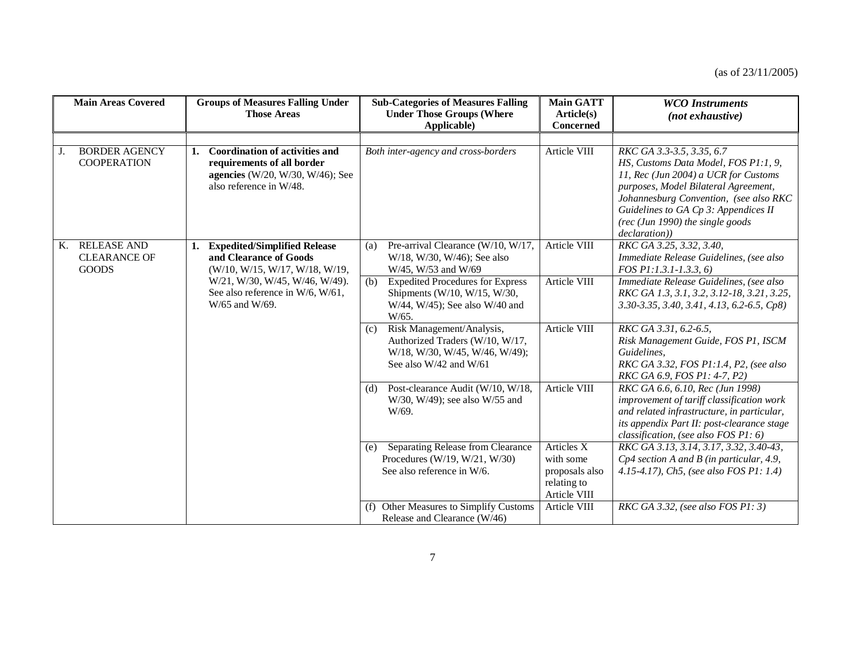| <b>Main Areas Covered</b> |                                                           | <b>Groups of Measures Falling Under</b><br><b>Those Areas</b> |                                                                                                                                    | <b>Sub-Categories of Measures Falling</b><br><b>Under Those Groups (Where</b><br>Applicable) |                                                                                                                              | <b>Main GATT</b><br>Article(s)<br><b>Concerned</b>                       | <b>WCO</b> Instruments<br>(not exhaustive)                                                                                                                                                                                                                                               |
|---------------------------|-----------------------------------------------------------|---------------------------------------------------------------|------------------------------------------------------------------------------------------------------------------------------------|----------------------------------------------------------------------------------------------|------------------------------------------------------------------------------------------------------------------------------|--------------------------------------------------------------------------|------------------------------------------------------------------------------------------------------------------------------------------------------------------------------------------------------------------------------------------------------------------------------------------|
|                           |                                                           |                                                               |                                                                                                                                    |                                                                                              |                                                                                                                              |                                                                          |                                                                                                                                                                                                                                                                                          |
| J.                        | <b>BORDER AGENCY</b><br><b>COOPERATION</b>                | 1.                                                            | <b>Coordination of activities and</b><br>requirements of all border<br>agencies (W/20, W/30, W/46); See<br>also reference in W/48. |                                                                                              | Both inter-agency and cross-borders                                                                                          | Article VIII                                                             | RKC GA 3.3-3.5, 3.35, 6.7<br>HS, Customs Data Model, FOS P1:1, 9,<br>11, Rec (Jun 2004) a UCR for Customs<br>purposes, Model Bilateral Agreement,<br>Johannesburg Convention, (see also RKC<br>Guidelines to GA Cp 3: Appendices II<br>(rec (Jun 1990) the single goods<br>declaration)) |
| Κ.                        | <b>RELEASE AND</b><br><b>CLEARANCE OF</b><br><b>GOODS</b> | 1.                                                            | <b>Expedited/Simplified Release</b><br>and Clearance of Goods<br>(W/10, W/15, W/17, W/18, W/19,                                    | (a)                                                                                          | Pre-arrival Clearance (W/10, W/17,<br>W/18, W/30, W/46); See also<br>W/45, W/53 and W/69                                     | Article VIII                                                             | RKC GA 3.25, 3.32, 3.40,<br>Immediate Release Guidelines, (see also<br>FOS P1:1.3.1-1.3.3, 6)                                                                                                                                                                                            |
|                           |                                                           |                                                               | W/21, W/30, W/45, W/46, W/49).<br>See also reference in W/6, W/61,<br>W/65 and W/69.                                               | (b)                                                                                          | <b>Expedited Procedures for Express</b><br>Shipments (W/10, W/15, W/30,<br>W/44, W/45); See also W/40 and<br>W/65.           | Article VIII                                                             | Immediate Release Guidelines, (see also<br>RKC GA 1.3, 3.1, 3.2, 3.12-18, 3.21, 3.25,<br>3.30-3.35, 3.40, 3.41, 4.13, 6.2-6.5, Cp8)                                                                                                                                                      |
|                           |                                                           |                                                               |                                                                                                                                    | (c)                                                                                          | Risk Management/Analysis,<br>Authorized Traders (W/10, W/17,<br>W/18, W/30, W/45, W/46, W/49);<br>See also $W/42$ and $W/61$ | Article VIII                                                             | RKC GA 3.31, 6.2-6.5,<br>Risk Management Guide, FOS P1, ISCM<br>Guidelines,<br>RKC GA 3.32, FOS P1:1.4, P2, (see also<br>RKC GA 6.9, FOS P1: 4-7, P2)                                                                                                                                    |
|                           |                                                           |                                                               |                                                                                                                                    | (d)                                                                                          | Post-clearance Audit (W/10, W/18,<br>$W/30$ , $W/49$ ; see also $W/55$ and<br>W/69.                                          | Article VIII                                                             | RKC GA 6.6, 6.10, Rec (Jun 1998)<br>improvement of tariff classification work<br>and related infrastructure, in particular,<br>its appendix Part II: post-clearance stage<br>classification, (see also FOS P1: 6)                                                                        |
|                           |                                                           |                                                               |                                                                                                                                    | (e)                                                                                          | Separating Release from Clearance<br>Procedures (W/19, W/21, W/30)<br>See also reference in W/6.                             | Articles X<br>with some<br>proposals also<br>relating to<br>Article VIII | RKC GA 3.13, 3.14, 3.17, 3.32, 3.40-43,<br>$Cp4$ section A and B (in particular, 4.9,<br>4.15-4.17), Ch5, (see also FOS P1: 1.4)                                                                                                                                                         |
|                           |                                                           |                                                               |                                                                                                                                    |                                                                                              | (f) Other Measures to Simplify Customs<br>Release and Clearance (W/46)                                                       | Article VIII                                                             | RKC GA 3.32, (see also FOS $PI: 3)$                                                                                                                                                                                                                                                      |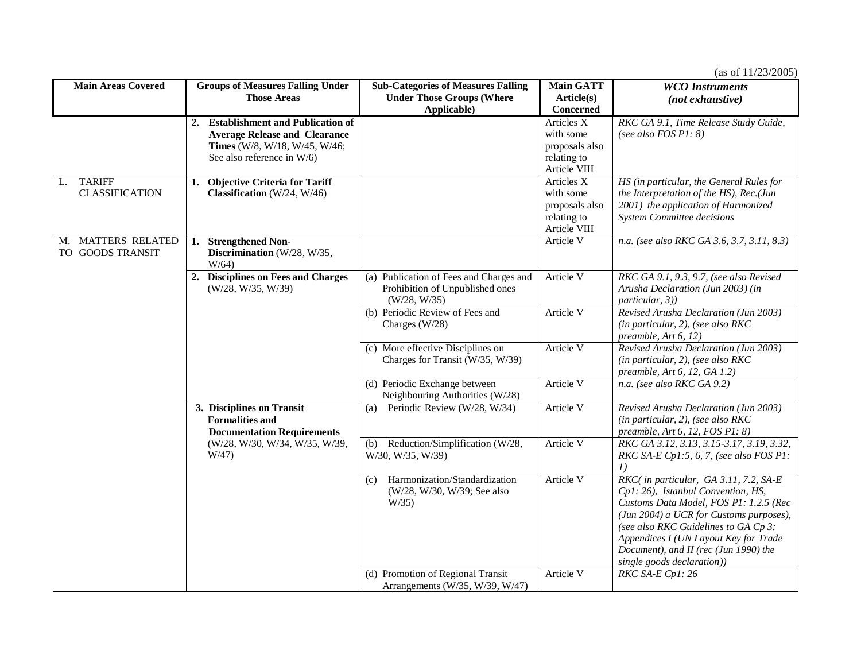| <b>Main Areas Covered</b>                        | <b>Groups of Measures Falling Under</b>                                                  | <b>Sub-Categories of Measures Falling</b>                                                  | <b>Main GATT</b> | <b>WCO</b> Instruments                                                                                                                                                                                                                                                                                                    |
|--------------------------------------------------|------------------------------------------------------------------------------------------|--------------------------------------------------------------------------------------------|------------------|---------------------------------------------------------------------------------------------------------------------------------------------------------------------------------------------------------------------------------------------------------------------------------------------------------------------------|
|                                                  | <b>Those Areas</b>                                                                       | <b>Under Those Groups (Where</b>                                                           | Article(s)       | (not exhaustive)                                                                                                                                                                                                                                                                                                          |
|                                                  |                                                                                          | Applicable)                                                                                | Concerned        |                                                                                                                                                                                                                                                                                                                           |
|                                                  | 2. Establishment and Publication of                                                      |                                                                                            | Articles X       | RKC GA 9.1, Time Release Study Guide,                                                                                                                                                                                                                                                                                     |
|                                                  | <b>Average Release and Clearance</b>                                                     |                                                                                            | with some        | (see also FOS $PI: 8$ )                                                                                                                                                                                                                                                                                                   |
|                                                  | Times (W/8, W/18, W/45, W/46;                                                            |                                                                                            | proposals also   |                                                                                                                                                                                                                                                                                                                           |
|                                                  | See also reference in W/6)                                                               |                                                                                            | relating to      |                                                                                                                                                                                                                                                                                                                           |
|                                                  |                                                                                          |                                                                                            | Article VIII     |                                                                                                                                                                                                                                                                                                                           |
| <b>TARIFF</b><br>L.                              | 1. Objective Criteria for Tariff                                                         |                                                                                            | Articles X       | HS (in particular, the General Rules for                                                                                                                                                                                                                                                                                  |
| <b>CLASSIFICATION</b>                            | Classification (W/24, W/46)                                                              |                                                                                            | with some        | the Interpretation of the HS), Rec.(Jun                                                                                                                                                                                                                                                                                   |
|                                                  |                                                                                          |                                                                                            | proposals also   | 2001) the application of Harmonized                                                                                                                                                                                                                                                                                       |
|                                                  |                                                                                          |                                                                                            | relating to      | <b>System Committee decisions</b>                                                                                                                                                                                                                                                                                         |
|                                                  |                                                                                          |                                                                                            | Article VIII     |                                                                                                                                                                                                                                                                                                                           |
| <b>MATTERS RELATED</b><br>М.<br>TO GOODS TRANSIT | <b>Strengthened Non-</b><br>1.<br>Discrimination (W/28, W/35,<br>W/64                    |                                                                                            | Article V        | n.a. (see also RKC GA 3.6, 3.7, 3.11, 8.3)                                                                                                                                                                                                                                                                                |
|                                                  | 2. Disciplines on Fees and Charges<br>(W/28, W/35, W/39)                                 | (a) Publication of Fees and Charges and<br>Prohibition of Unpublished ones<br>(W/28, W/35) | Article V        | RKC GA 9.1, 9.3, 9.7, (see also Revised<br>Arusha Declaration (Jun 2003) (in<br><i>particular, 3)</i>                                                                                                                                                                                                                     |
|                                                  |                                                                                          | (b) Periodic Review of Fees and<br>Charges (W/28)                                          | Article V        | Revised Arusha Declaration (Jun 2003)<br>(in particular, 2), (see also RKC<br>preamble, Art 6, 12)                                                                                                                                                                                                                        |
|                                                  |                                                                                          | (c) More effective Disciplines on<br>Charges for Transit (W/35, W/39)                      | Article V        | Revised Arusha Declaration (Jun 2003)<br>(in particular, 2), (see also RKC<br>preamble, Art 6, 12, GA 1.2)                                                                                                                                                                                                                |
|                                                  |                                                                                          | (d) Periodic Exchange between<br>Neighbouring Authorities (W/28)                           | Article V        | n.a. (see also RKC GA 9.2)                                                                                                                                                                                                                                                                                                |
|                                                  | 3. Disciplines on Transit<br><b>Formalities and</b><br><b>Documentation Requirements</b> | Periodic Review (W/28, W/34)<br>(a)                                                        | Article V        | Revised Arusha Declaration (Jun 2003)<br>(in particular, 2), (see also RKC<br>preamble, Art 6, 12, FOS P1: 8)                                                                                                                                                                                                             |
|                                                  | (W/28, W/30, W/34, W/35, W/39,<br>W/47)                                                  | Reduction/Simplification (W/28,<br>(b)<br>W/30, W/35, W/39)                                | Article V        | RKC GA 3.12, 3.13, 3.15-3.17, 3.19, 3.32,<br>RKC SA-E Cp1:5, 6, 7, (see also FOS P1:<br>I)                                                                                                                                                                                                                                |
|                                                  |                                                                                          | Harmonization/Standardization<br>(c)<br>(W/28, W/30, W/39; See also<br>$W/35$ )            | Article V        | RKC( in particular, GA 3.11, 7.2, SA-E<br>Cp1: 26), Istanbul Convention, HS,<br>Customs Data Model, FOS P1: 1.2.5 (Rec<br>(Jun 2004) a UCR for Customs purposes),<br>(see also RKC Guidelines to GA Cp 3:<br>Appendices I (UN Layout Key for Trade<br>Document), and II (rec (Jun 1990) the<br>single goods declaration)) |
|                                                  |                                                                                          | (d) Promotion of Regional Transit<br>Arrangements (W/35, W/39, W/47)                       | Article V        | RKC SA-E Cp1: 26                                                                                                                                                                                                                                                                                                          |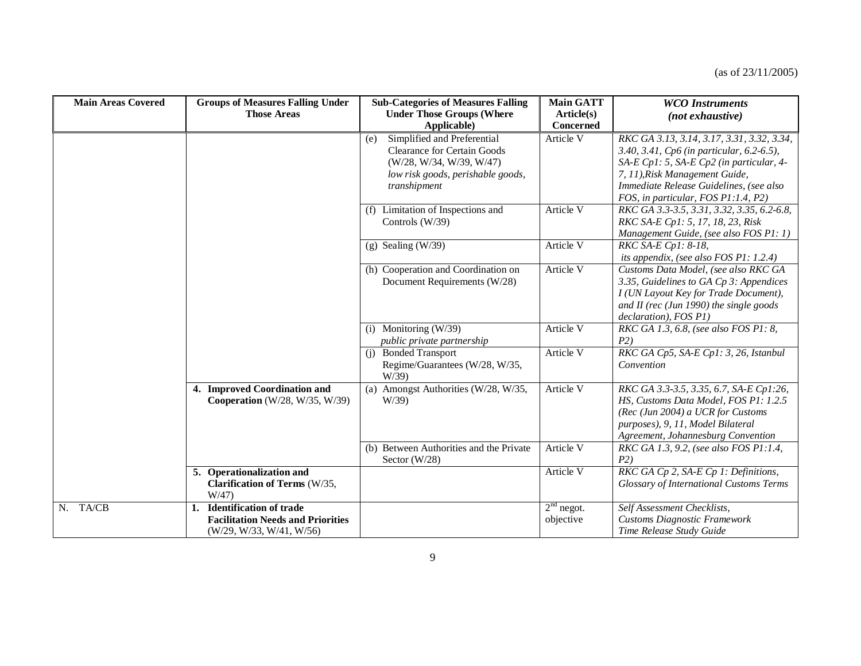| <b>Main Areas Covered</b> | <b>Groups of Measures Falling Under</b><br><b>Those Areas</b>                                                | <b>Sub-Categories of Measures Falling</b><br><b>Under Those Groups (Where</b><br>Applicable)                                                              | <b>Main GATT</b><br>Article(s)<br><b>Concerned</b> | <b>WCO</b> Instruments<br>(not exhaustive)                                                                                                                                                                                                              |
|---------------------------|--------------------------------------------------------------------------------------------------------------|-----------------------------------------------------------------------------------------------------------------------------------------------------------|----------------------------------------------------|---------------------------------------------------------------------------------------------------------------------------------------------------------------------------------------------------------------------------------------------------------|
|                           |                                                                                                              | Simplified and Preferential<br>(e)<br><b>Clearance for Certain Goods</b><br>(W/28, W/34, W/39, W/47)<br>low risk goods, perishable goods,<br>transhipment | Article V                                          | RKC GA 3.13, 3.14, 3.17, 3.31, 3.32, 3.34,<br>3.40, 3.41, Cp6 (in particular, 6.2-6.5),<br>SA-E Cp1: 5, SA-E Cp2 (in particular, 4-<br>7, 11), Risk Management Guide,<br>Immediate Release Guidelines, (see also<br>FOS, in particular, FOS P1:1.4, P2) |
|                           |                                                                                                              | Limitation of Inspections and<br>(f)<br>Controls (W/39)                                                                                                   | Article V                                          | RKC GA 3.3-3.5, 3.31, 3.32, 3.35, 6.2-6.8,<br>RKC SA-E Cp1: 5, 17, 18, 23, Risk<br>Management Guide, (see also FOS P1: 1)                                                                                                                               |
|                           |                                                                                                              | $(g)$ Sealing (W/39)                                                                                                                                      | Article V                                          | RKC SA-E Cp1: 8-18,<br>its appendix, (see also FOS P1: 1.2.4)                                                                                                                                                                                           |
|                           |                                                                                                              | (h) Cooperation and Coordination on<br>Document Requirements (W/28)                                                                                       | Article V                                          | Customs Data Model, (see also RKC GA<br>3.35, Guidelines to GA Cp 3: Appendices<br>I (UN Layout Key for Trade Document),<br>and II (rec (Jun 1990) the single goods<br>declaration), FOS P1)                                                            |
|                           |                                                                                                              | (i) Monitoring $(W/39)$<br>public private partnership                                                                                                     | Article V                                          | RKC GA 1.3, 6.8, (see also FOS P1: 8,<br>P2)                                                                                                                                                                                                            |
|                           |                                                                                                              | (j) Bonded Transport<br>Regime/Guarantees (W/28, W/35,<br>W/39                                                                                            | Article V                                          | RKC GA Cp5, SA-E Cp1: 3, 26, Istanbul<br>Convention                                                                                                                                                                                                     |
|                           | 4. Improved Coordination and<br><b>Cooperation</b> (W/28, W/35, W/39)                                        | (a) Amongst Authorities (W/28, W/35,<br>W/39                                                                                                              | Article V                                          | RKC GA 3.3-3.5, 3.35, 6.7, SA-E Cp1:26,<br>HS, Customs Data Model, FOS P1: 1.2.5<br>(Rec (Jun 2004) a UCR for Customs<br>purposes), 9, 11, Model Bilateral<br>Agreement, Johannesburg Convention                                                        |
|                           |                                                                                                              | (b) Between Authorities and the Private<br>Sector $(W/28)$                                                                                                | Article V                                          | RKC GA 1.3, 9.2, (see also FOS P1:1.4,<br>P2)                                                                                                                                                                                                           |
|                           | 5. Operationalization and<br>Clarification of Terms (W/35,<br>W/47                                           |                                                                                                                                                           | Article V                                          | RKC GA Cp 2, SA-E Cp 1: Definitions,<br>Glossary of International Customs Terms                                                                                                                                                                         |
| N. TA/CB                  | <b>Identification of trade</b><br>1.<br><b>Facilitation Needs and Priorities</b><br>(W/29, W/33, W/41, W/56) |                                                                                                                                                           | $2nd$ negot.<br>objective                          | Self Assessment Checklists,<br><b>Customs Diagnostic Framework</b><br>Time Release Study Guide                                                                                                                                                          |